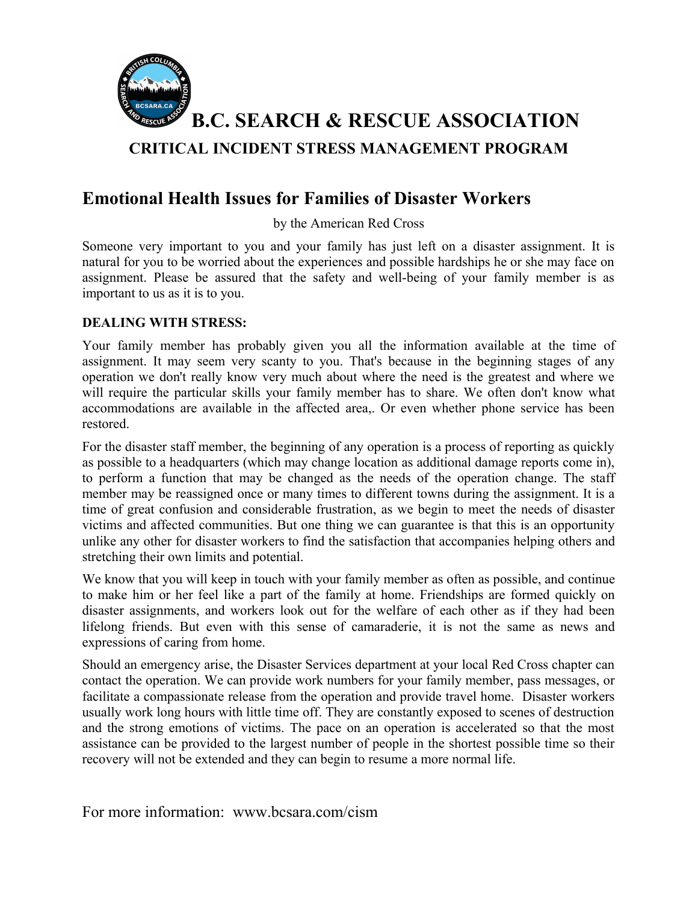

## **Emotional Health Issues for Families of Disaster Workers**

by the American Red Cross

Someone very important to you and your family has just left on a disaster assignment. It is natural for you to be worried about the experiences and possible hardships he or she may face on assignment. Please be assured that the safety and well-being of your family member is as important to us as it is to you.

## **DEALING WITH STRESS:**

Your family member has probably given you all the information available at the time of assignment. It may seem very scanty to you. That's because in the beginning stages of any operation we don't really know very much about where the need is the greatest and where we will require the particular skills your family member has to share. We often don't know what accommodations are available in the affected area,. Or even whether phone service has been restored.

For the disaster staff member, the beginning of any operation is a process of reporting as quickly as possible to a headquarters (which may change location as additional damage reports come in), to perform a function that may be changed as the needs of the operation change. The staff member may be reassigned once or many times to different towns during the assignment. It is a time of great confusion and considerable frustration, as we begin to meet the needs of disaster victims and affected communities. But one thing we can guarantee is that this is an opportunity unlike any other for disaster workers to find the satisfaction that accompanies helping others and stretching their own limits and potential.

We know that you will keep in touch with your family member as often as possible, and continue to make him or her feel like a part of the family at home. Friendships are formed quickly on disaster assignments, and workers look out for the welfare of each other as if they had been lifelong friends. But even with this sense of camaraderie, it is not the same as news and expressions of caring from home.

Should an emergency arise, the Disaster Services department at your local Red Cross chapter can contact the operation. We can provide work numbers for your family member, pass messages, or facilitate a compassionate release from the operation and provide travel home. Disaster workers usually work long hours with little time off. They are constantly exposed to scenes of destruction and the strong emotions of victims. The pace on an operation is accelerated so that the most assistance can be provided to the largest number of people in the shortest possible time so their recovery will not be extended and they can begin to resume a more normal life.

For more information: www.bcsara.com/cism